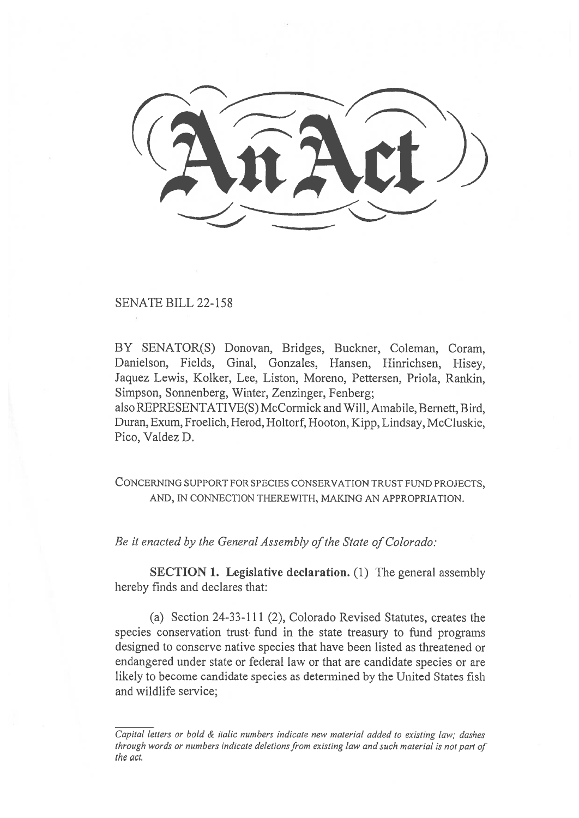SENATE BILL 22-158

BY SENATOR(S) Donovan, Bridges, Buckner, Coleman, Coram, Danielson, Fields, Ginal, Gonzales, Hansen, Hinrichsen, Hisey, Jaquez Lewis, Kolker, Lee, Liston, Moreno, Pettersen, Priola, Rankin, Simpson, Sonnenberg, Winter, Zenzinger, Fenberg; also REPRESENTATIVE(S) McCormick and Will, Amabile, Bernett, Bird,

Duran, Exum, Froelich, Herod, Holtorf, Hooton, Kipp, Lindsay, McCluskie, Pico, Valdez D.

CONCERNING SUPPORT FOR SPECIES CONSERVATION TRUST FUND PROJECTS, AND, IN CONNECTION THEREWITH, MAKING AN APPROPRIATION.

Be it enacted by the General Assembly of the State of Colorado:

SECTION 1. Legislative declaration. (1) The general assembly hereby finds and declares that:

(a) Section 24-33-111 (2), Colorado Revised Statutes, creates the species conservation trust fund in the state treasury to fund programs designed to conserve native species that have been listed as threatened or endangered under state or federal law or that are candidate species or are likely to become candidate species as determined by the United States fish and wildlife service;

Capital letters or bold & italic numbers indicate new material added to existing law; dashes through words or numbers indicate deletions from existing law and such material is not part of the act.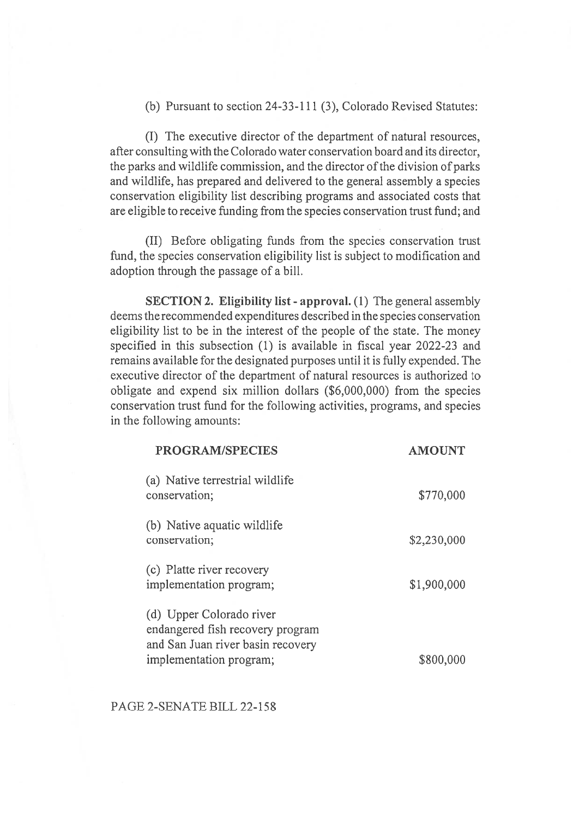(b) Pursuant to section 24-33-111 (3), Colorado Revised Statutes:

(I) The executive director of the department of natural resources, after consulting with the Colorado water conservation board and its director, the parks and wildlife commission, and the director of the division of parks and wildlife, has prepared and delivered to the general assembly a species conservation eligibility list describing programs and associated costs that are eligible to receive funding from the species conservation trust fund; and

(II) Before obligating funds from the species conservation trust fund, the species conservation eligibility list is subject to modification and adoption through the passage of a bill.

SECTION 2. Eligibility list - approval. (1) The general assembly deems the recommended expenditures described in the species conservation eligibility list to be in the interest of the people of the state. The money specified in this subsection (1) is available in fiscal year 2022-23 and remains available for the designated purposes until it is fully expended. The executive director of the department of natural resources is authorized to obligate and expend six million dollars (\$6,000,000) from the species conservation trust fund for the following activities, programs, and species in the following amounts:

AMOUNT AND COMPANY ARRESTS

| PROGRAM/SPECIES                                                                                   | <b>AMOUNT</b> |
|---------------------------------------------------------------------------------------------------|---------------|
| (a) Native terrestrial wildlife<br>conservation;                                                  | \$770,000     |
| (b) Native aquatic wildlife<br>conservation;                                                      | \$2,230,000   |
| (c) Platte river recovery<br>implementation program;                                              | \$1,900,000   |
| (d) Upper Colorado river<br>endangered fish recovery program<br>and San Juan river basin recovery |               |
| implementation program;                                                                           | \$800,000     |

## PAGE 2-SENATE BILL 22-158

PROGRAM/SPECIES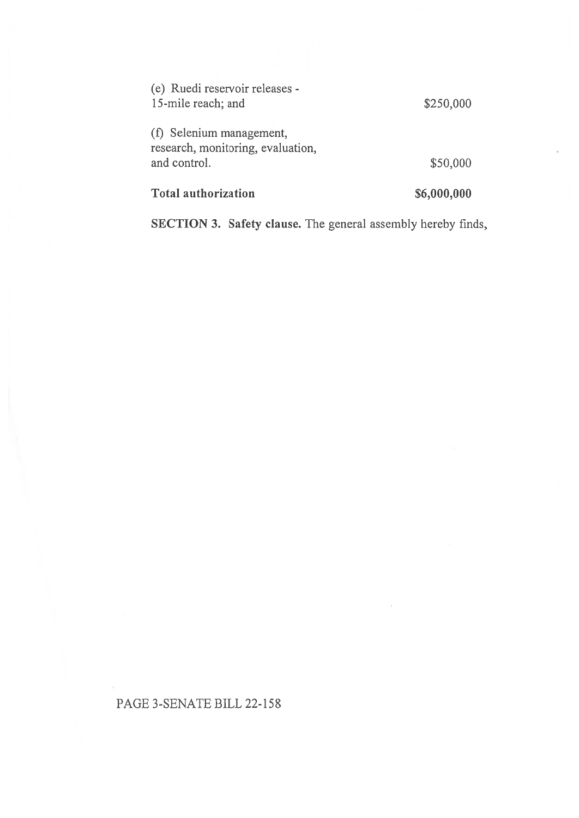| <b>Total authorization</b>                                                    | \$6,000,000 |
|-------------------------------------------------------------------------------|-------------|
| (f) Selenium management,<br>research, monitoring, evaluation,<br>and control. | \$50,000    |
| (e) Ruedi reservoir releases -<br>15-mile reach; and                          | \$250,000   |

SECTION 3. Safety clause. The general assembly hereby finds,

## PAGE 3-SENATE BILL 22-158